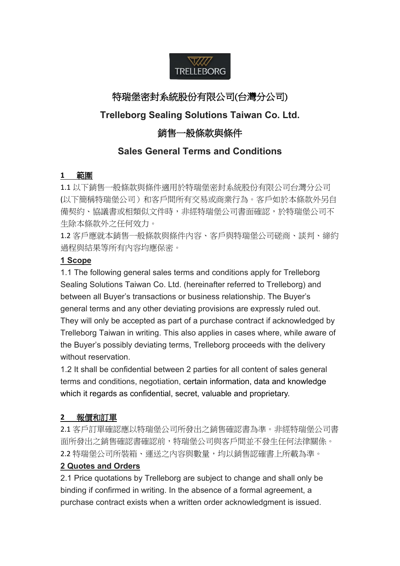

# 特瑞堡密封系統股份有限公司(台灣分公司)

# **Trelleborg Sealing Solutions Taiwan Co. Ltd.**

# 銷售一般條款與條件

# **Sales General Terms and Conditions**

# **1** 範圍

1.1 以下銷售一般條款與條件適用於特瑞堡密封系統股份有限公司台灣分公司 (以下簡稱特瑞堡公司)和客戶間所有交易或商業行為。客戶如於本條款外另自 備契約、協議書或相類似文件時,非經特瑞堡公司書面確認,於特瑞堡公司不 生除本條款外之任何效力。

1.2 客戶應就本銷售一般條款與條件內容、客戶與特瑞堡公司磋商、談判、締約 過程與結果等所有內容均應保密。

# **1 Scope**

1.1 The following general sales terms and conditions apply for Trelleborg Sealing Solutions Taiwan Co. Ltd. (hereinafter referred to Trelleborg) and between all Buyer's transactions or business relationship. The Buyer's general terms and any other deviating provisions are expressly ruled out. They will only be accepted as part of a purchase contract if acknowledged by Trelleborg Taiwan in writing. This also applies in cases where, while aware of the Buyer's possibly deviating terms, Trelleborg proceeds with the delivery without reservation.

1.2 It shall be confidential between 2 parties for all content of sales general terms and conditions, negotiation, certain information, data and knowledge which it regards as confidential, secret, valuable and proprietary.

# **2** 報價和訂單

2.1 客戶訂單確認應以特瑞堡公司所發出之銷售確認書為準。非經特瑞堡公司書 面所發出之銷售確認書確認前,特瑞堡公司與客戶間並不發生任何法律關係。 2.2 特瑞堡公司所裝箱、運送之內容與數量,均以銷售認確書上所載為準。

# **2 Quotes and Orders**

2.1 Price quotations by Trelleborg are subject to change and shall only be binding if confirmed in writing. In the absence of a formal agreement, a purchase contract exists when a written order acknowledgment is issued.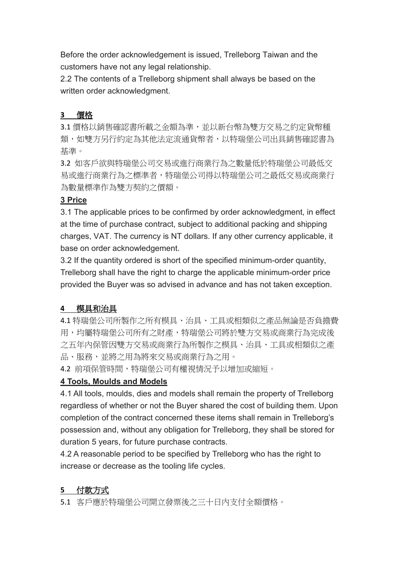Before the order acknowledgement is issued, Trelleborg Taiwan and the customers have not any legal relationship.

2.2 The contents of a Trelleborg shipment shall always be based on the written order acknowledgment.

# **3** 價格

3.1 價格以銷售確認書所載之金額為準,並以新台幣為雙方交易之約定貨幣種 類,如雙方另行約定為其他法定流通貨幣者,以特瑞堡公司出具銷售確認書為 基準。

3.2 如客戶欲與特瑞堡公司交易或進行商業行為之數量低於特瑞堡公司最低交 易或進行商業行為之標準者,特瑞堡公司得以特瑞堡公司之最低交易或商業行 為數量標準作為雙方契約之價額。

## **3 Price**

3.1 The applicable prices to be confirmed by order acknowledgment, in effect at the time of purchase contract, subject to additional packing and shipping charges, VAT. The currency is NT dollars. If any other currency applicable, it base on order acknowledgement.

3.2 If the quantity ordered is short of the specified minimum-order quantity, Trelleborg shall have the right to charge the applicable minimum-order price provided the Buyer was so advised in advance and has not taken exception.

# **4** 模具和治具

4.1 特瑞堡公司所製作之所有模具、治具、工具或相類似之產品無論是否負擔費 用,均屬特瑞堡公司所有之財產,特瑞堡公司將於雙方交易或商業行為完成後 之五年內保管因雙方交易或商業行為所製作之模具、治具、工具或相類似之產 品、服務,並將之用為將來交易或商業行為之用。

4.2 前項保管時間,特瑞堡公司有權視情況予以增加或縮短。

# **4 Tools, Moulds and Models**

4.1 All tools, moulds, dies and models shall remain the property of Trelleborg regardless of whether or not the Buyer shared the cost of building them. Upon completion of the contract concerned these items shall remain in Trelleborg's possession and, without any obligation for Trelleborg, they shall be stored for duration 5 years, for future purchase contracts.

4.2 A reasonable period to be specified by Trelleborg who has the right to increase or decrease as the tooling life cycles.

# **5** 付款方式

5.1 客戶應於特瑞堡公司開立發票後之三十日內支付全額價格。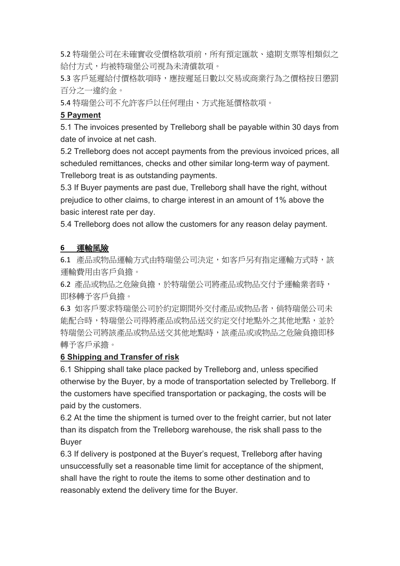5.2 特瑞堡公司在未確實收受價格款項前,所有預定匯款、遠期支票等相類似之 給付方式,均被特瑞堡公司視為未清償款項。

5.3 客戶延遲給付價格款項時,應按遲延日數以交易或商業行為之價格按日懲罰 百分之一違約金。

5.4 特瑞堡公司不允許客戶以任何理由、方式拖延價格款項。

#### **5 Payment**

5.1 The invoices presented by Trelleborg shall be payable within 30 days from date of invoice at net cash.

5.2 Trelleborg does not accept payments from the previous invoiced prices, all scheduled remittances, checks and other similar long-term way of payment. Trelleborg treat is as outstanding payments.

5.3 If Buyer payments are past due, Trelleborg shall have the right, without prejudice to other claims, to charge interest in an amount of 1% above the basic interest rate per day.

5.4 Trelleborg does not allow the customers for any reason delay payment.

#### **6** 運輸風險

6.1 產品或物品運輸方式由特瑞堡公司決定,如客戶另有指定運輸方式時,該 運輸費用由客戶負擔。

6.2 產品或物品之危險負擔,於特瑞堡公司將產品或物品交付予運輸業者時, 即移轉予客戶負擔。

6.3 如客戶要求特瑞堡公司於約定期間外交付產品或物品者,倘特瑞堡公司未 能配合時,特瑞堡公司得將產品或物品送交約定交付地點外之其他地點,並於 特瑞堡公司將該產品或物品送交其他地點時,該產品或或物品之危險負擔即移 轉予客戶承擔。

#### **6 Shipping and Transfer of risk**

6.1 Shipping shall take place packed by Trelleborg and, unless specified otherwise by the Buyer, by a mode of transportation selected by Trelleborg. If the customers have specified transportation or packaging, the costs will be paid by the customers.

6.2 At the time the shipment is turned over to the freight carrier, but not later than its dispatch from the Trelleborg warehouse, the risk shall pass to the Buyer

6.3 If delivery is postponed at the Buyer's request, Trelleborg after having unsuccessfully set a reasonable time limit for acceptance of the shipment, shall have the right to route the items to some other destination and to reasonably extend the delivery time for the Buyer.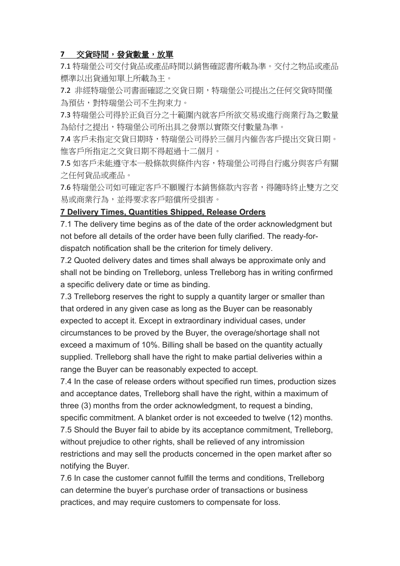### **7** 交貨時間,發貨數量,放單

7.1 特瑞堡公司交付貨品或產品時間以銷售確認書所載為準。交付之物品或產品 標準以出貨通知單上所載為主。

7.2 非經特瑞堡公司書面確認之交貨日期,特瑞堡公司提出之任何交貨時間僅 為預估,對特瑞堡公司不生拘束力。

7.3 特瑞堡公司得於正負百分之十範圍內就客戶所欲交易或進行商業行為之數量 為給付之提出,特瑞堡公司所出具之發票以實際交付數量為準。

7.4 客戶未指定交貨日期時,特瑞堡公司得於三個月內催告客戶提出交貨日期。 惟客戶所指定之交貨日期不得超過十二個月。

7.5 如客戶未能遵守本一般條款與條件內容,特瑞堡公司得自行處分與客戶有關 之任何貨品或產品。

7.6 特瑞堡公司如可確定客戶不願履行本銷售條款內容者,得隨時終止雙方之交 易或商業行為,並得要求客戶賠償所受損害。

#### **7 Delivery Times, Quantities Shipped, Release Orders**

7.1 The delivery time begins as of the date of the order acknowledgment but not before all details of the order have been fully clarified. The ready-fordispatch notification shall be the criterion for timely delivery.

7.2 Quoted delivery dates and times shall always be approximate only and shall not be binding on Trelleborg, unless Trelleborg has in writing confirmed a specific delivery date or time as binding.

7.3 Trelleborg reserves the right to supply a quantity larger or smaller than that ordered in any given case as long as the Buyer can be reasonably expected to accept it. Except in extraordinary individual cases, under circumstances to be proved by the Buyer, the overage/shortage shall not exceed a maximum of 10%. Billing shall be based on the quantity actually supplied. Trelleborg shall have the right to make partial deliveries within a range the Buyer can be reasonably expected to accept.

7.4 In the case of release orders without specified run times, production sizes and acceptance dates, Trelleborg shall have the right, within a maximum of three (3) months from the order acknowledgment, to request a binding, specific commitment. A blanket order is not exceeded to twelve (12) months.

7.5 Should the Buyer fail to abide by its acceptance commitment, Trelleborg, without prejudice to other rights, shall be relieved of any intromission restrictions and may sell the products concerned in the open market after so notifying the Buyer.

7.6 In case the customer cannot fulfill the terms and conditions, Trelleborg can determine the buyer's purchase order of transactions or business practices, and may require customers to compensate for loss.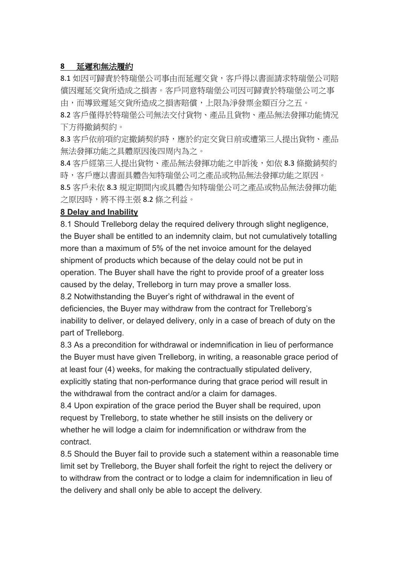### **8** 延遲和無法履約

8.1 如因可歸責於特瑞堡公司事由而延遲交貨,客戶得以書面請求特瑞堡公司賠 償因遲延交貨所造成之損害。客戶同意特瑞堡公司因可歸責於特瑞堡公司之事 由,而導致遲延交貨所造成之損害賠償,上限為淨發票金額百分之五。

8.2 客戶僅得於特瑞堡公司無法交付貨物、產品且貨物、產品無法發揮功能情況 下方得撤銷契約。

8.3 客戶依前項約定撤銷契約時,應於約定交貨日前或遭第三人提出貨物、產品 無法發揮功能之具體原因後四周內為之。

8.4 客戶經第三人提出貨物、產品無法發揮功能之申訴後, 如依 8.3 條撤銷契約 時,客戶應以書面具體告知特瑞堡公司之產品或物品無法發揮功能之原因。 8.5 客戶未依 8.3 規定期間內或具體告知特瑞堡公司之產品或物品無法發揮功能 之原因時,將不得主張 8.2 條之利益。

#### **8 Delay and Inability**

8.1 Should Trelleborg delay the required delivery through slight negligence, the Buyer shall be entitled to an indemnity claim, but not cumulatively totalling more than a maximum of 5% of the net invoice amount for the delayed shipment of products which because of the delay could not be put in operation. The Buyer shall have the right to provide proof of a greater loss caused by the delay, Trelleborg in turn may prove a smaller loss.

8.2 Notwithstanding the Buyer's right of withdrawal in the event of deficiencies, the Buyer may withdraw from the contract for Trelleborg's inability to deliver, or delayed delivery, only in a case of breach of duty on the part of Trelleborg.

8.3 As a precondition for withdrawal or indemnification in lieu of performance the Buyer must have given Trelleborg, in writing, a reasonable grace period of at least four (4) weeks, for making the contractually stipulated delivery, explicitly stating that non-performance during that grace period will result in the withdrawal from the contract and/or a claim for damages.

8.4 Upon expiration of the grace period the Buyer shall be required, upon request by Trelleborg, to state whether he still insists on the delivery or whether he will lodge a claim for indemnification or withdraw from the contract.

8.5 Should the Buyer fail to provide such a statement within a reasonable time limit set by Trelleborg, the Buyer shall forfeit the right to reject the delivery or to withdraw from the contract or to lodge a claim for indemnification in lieu of the delivery and shall only be able to accept the delivery.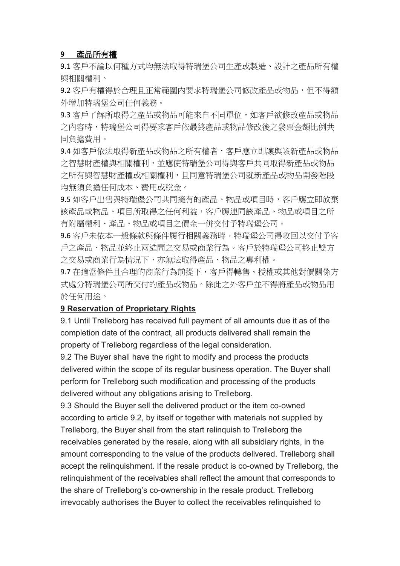#### **9** 產品所有權

9.1 客戶不論以何種方式均無法取得特瑞堡公司生產或製造、設計之產品所有權 與相關權利。

9.2 客戶有權得於合理且正常範圍內要求特瑞堡公司修改產品或物品,但不得額 外增加特瑞堡公司任何義務。

9.3 客戶了解所取得之產品或物品可能來自不同單位,如客戶欲修改產品或物品 之內容時,特瑞堡公司得要求客戶依最終產品或物品修改後之發票金額比例共 同負擔費用。

9.4 如客戶依法取得新產品或物品之所有權者,客戶應立即讓與該新產品或物品 之智慧財產權與相關權利,並應使特瑞堡公司得與客戶共同取得新產品或物品 之所有與智慧財產權或相關權利,且同意特瑞堡公司就新產品或物品開發階段 均無須負擔任何成本、費用或稅金。

9.5 如客戶出售與特瑞堡公司共同擁有的產品、物品或項目時,客戶應立即放棄 該產品或物品、項目所取得之任何利益,客戶應連同該產品、物品或項目之所 有附屬權利、產品、物品或項目之價金一併交付予特瑞堡公司。

9.6 客戶未依本一般條款與條件履行相關義務時,特瑞堡公司得收回以交付予客 戶之產品、物品並終止兩造間之交易或商業行為。客戶於特瑞堡公司終止雙方 之交易或商業行為情況下,亦無法取得產品、物品之專利權。

9.7 在適當條件且合理的商業行為前提下,客戶得轉售、授權或其他對價關係方 式處分特瑞堡公司所交付的產品或物品。除此之外客戶並不得將產品或物品用 於任何用途。

#### **9 Reservation of Proprietary Rights**

9.1 Until Trelleborg has received full payment of all amounts due it as of the completion date of the contract, all products delivered shall remain the property of Trelleborg regardless of the legal consideration.

9.2 The Buyer shall have the right to modify and process the products delivered within the scope of its regular business operation. The Buyer shall perform for Trelleborg such modification and processing of the products delivered without any obligations arising to Trelleborg.

9.3 Should the Buyer sell the delivered product or the item co-owned according to article 9.2, by itself or together with materials not supplied by Trelleborg, the Buyer shall from the start relinquish to Trelleborg the receivables generated by the resale, along with all subsidiary rights, in the amount corresponding to the value of the products delivered. Trelleborg shall accept the relinquishment. If the resale product is co-owned by Trelleborg, the relinquishment of the receivables shall reflect the amount that corresponds to the share of Trelleborg's co-ownership in the resale product. Trelleborg irrevocably authorises the Buyer to collect the receivables relinquished to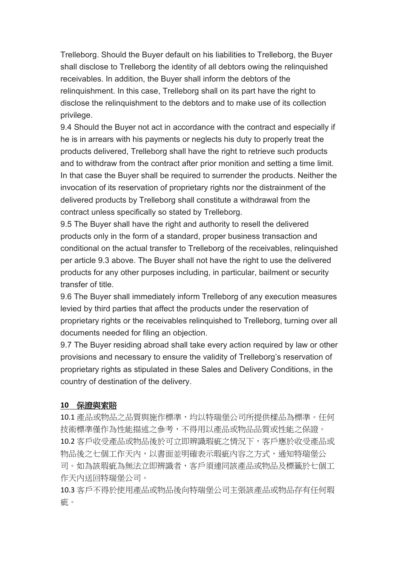Trelleborg. Should the Buyer default on his liabilities to Trelleborg, the Buyer shall disclose to Trelleborg the identity of all debtors owing the relinquished receivables. In addition, the Buyer shall inform the debtors of the relinquishment. In this case, Trelleborg shall on its part have the right to disclose the relinquishment to the debtors and to make use of its collection privilege.

9.4 Should the Buyer not act in accordance with the contract and especially if he is in arrears with his payments or neglects his duty to properly treat the products delivered, Trelleborg shall have the right to retrieve such products and to withdraw from the contract after prior monition and setting a time limit. In that case the Buyer shall be required to surrender the products. Neither the invocation of its reservation of proprietary rights nor the distrainment of the delivered products by Trelleborg shall constitute a withdrawal from the contract unless specifically so stated by Trelleborg.

9.5 The Buyer shall have the right and authority to resell the delivered products only in the form of a standard, proper business transaction and conditional on the actual transfer to Trelleborg of the receivables, relinquished per article 9.3 above. The Buyer shall not have the right to use the delivered products for any other purposes including, in particular, bailment or security transfer of title.

9.6 The Buyer shall immediately inform Trelleborg of any execution measures levied by third parties that affect the products under the reservation of proprietary rights or the receivables relinquished to Trelleborg, turning over all documents needed for filing an objection.

9.7 The Buyer residing abroad shall take every action required by law or other provisions and necessary to ensure the validity of Trelleborg's reservation of proprietary rights as stipulated in these Sales and Delivery Conditions, in the country of destination of the delivery.

## **10** 保證與索賠

10.1 產品或物品之品質與施作標準,均以特瑞堡公司所提供樣品為標準。任何 技術標準僅作為性能描述之參考,不得用以產品或物品品質或性能之保證。 10.2 客戶收受產品或物品後於可立即辨識瑕疵之情況下,客戶應於收受產品或 物品後之七個工作天內,以書面並明確表示瑕疵內容之方式,通知特瑞堡公 司。如為該瑕疵為無法立即辨識者,客戶須連同該產品或物品及標籤於七個工 作天內送回特瑞堡公司。

10.3 客戶不得於使用產品或物品後向特瑞堡公司主張該產品或物品存有任何瑕 疵。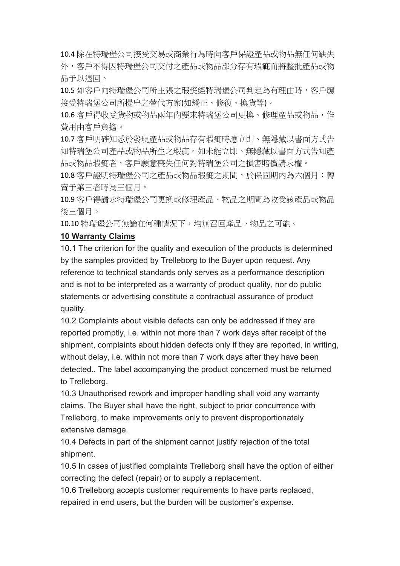10.4 除在特瑞堡公司接受交易或商業行為時向客戶保證產品或物品無任何缺失 外,客戶不得因特瑞堡公司交付之產品或物品部分存有瑕疵而將整批產品或物 品予以退回。

10.5 如客戶向特瑞堡公司所主張之瑕疵經特瑞堡公司判定為有理由時,客戶應 接受特瑞堡公司所提出之替代方案(如矯正、修復、換貨等)。

10.6 客戶得收受貨物或物品兩年內要求特瑞堡公司更換、修理產品或物品,惟 費用由客戶負擔。

10.7 客戶明確知悉於發現產品或物品存有瑕疵時應立即、無隱藏以書面方式告 知特瑞堡公司產品或物品所生之瑕疵。如未能立即、無隱藏以書面方式告知產 品或物品瑕疵者,客戶願意喪失任何對特瑞堡公司之損害賠償請求權。

10.8 客戶證明特瑞堡公司之產品或物品瑕疵之期間,於保固期內為六個月;轉 賣予第三者時為三個月。

10.9 客戶得請求特瑞堡公司更換或修理產品、物品之期間為收受該產品或物品 後三個月。

10.10 特瑞堡公司無論在何種情況下,均無召回產品、物品之可能。

## **10 Warranty Claims**

10.1 The criterion for the quality and execution of the products is determined by the samples provided by Trelleborg to the Buyer upon request. Any reference to technical standards only serves as a performance description and is not to be interpreted as a warranty of product quality, nor do public statements or advertising constitute a contractual assurance of product quality.

10.2 Complaints about visible defects can only be addressed if they are reported promptly, i.e. within not more than 7 work days after receipt of the shipment, complaints about hidden defects only if they are reported, in writing, without delay, i.e. within not more than 7 work days after they have been detected.. The label accompanying the product concerned must be returned to Trelleborg.

10.3 Unauthorised rework and improper handling shall void any warranty claims. The Buyer shall have the right, subject to prior concurrence with Trelleborg, to make improvements only to prevent disproportionately extensive damage.

10.4 Defects in part of the shipment cannot justify rejection of the total shipment.

10.5 In cases of justified complaints Trelleborg shall have the option of either correcting the defect (repair) or to supply a replacement.

10.6 Trelleborg accepts customer requirements to have parts replaced, repaired in end users, but the burden will be customer's expense.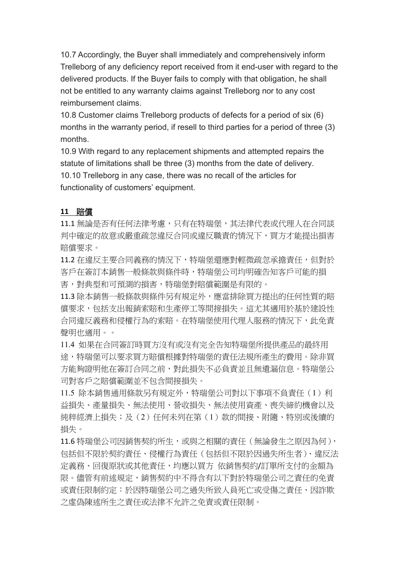10.7 Accordingly, the Buyer shall immediately and comprehensively inform Trelleborg of any deficiency report received from it end-user with regard to the delivered products. If the Buyer fails to comply with that obligation, he shall not be entitled to any warranty claims against Trelleborg nor to any cost reimbursement claims.

10.8 Customer claims Trelleborg products of defects for a period of six (6) months in the warranty period, if resell to third parties for a period of three (3) months.

10.9 With regard to any replacement shipments and attempted repairs the statute of limitations shall be three (3) months from the date of delivery. 10.10 Trelleborg in any case, there was no recall of the articles for functionality of customers' equipment.

#### **11** 賠償

11.1 無論是否有任何法律考慮,只有在特瑞堡,其法律代表或代理人在合同談 判中確定的故意或嚴重疏忽違反合同或違反職責的情況下,買方才能提出損害 賠償要求。

11.2 在違反主要合同義務的情況下,特瑞堡還應對輕微疏忽承擔責任,但對於 客戶在簽訂本銷售一般條款與條件時,特瑞堡公司均明確告知客戶可能的損 害,對典型和可預測的損害,特瑞堡對賠償範圍是有限的。

11.3 除本銷售一般條款與條件另有規定外,應當排除買方提出的任何性質的賠 償要求,包括支出報銷索賠和生產停工等間接損失。這尤其適用於基於建設性 合同違反義務和侵權行為的索賠。在特瑞堡使用代理人服務的情況下,此免責 聲明也適用。。

11.4 如果在合同簽訂時買方沒有或沒有完全告知特瑞堡所提供產品的最終用 途,特瑞堡可以要求買方賠償根據對特瑞堡的責任法規所產生的費用。除非買 方能夠證明他在簽訂合同之前,對此損失不必負責並且無遺漏信息。特瑞堡公 司對客戶之賠償範圍並不包含間接損失。

11.5 除本銷售通用條款另有規定外,特瑞堡公司對以下事項不負責任(1)利 益損失、產量損失、無法使用、營收損失、無法使用資產、喪失締約機會以及 純粹經濟上損失;及(2)任何未列在第(1)款的間接、附隨、特別或後續的 損失。

11.6 特瑞堡公司因銷售契約所生,或與之相關的責任(無論發生之原因為何), 包括但不限於契約責任、侵權行為責任(包括但不限於因過失所生者)、違反法 定義務、回復原狀或其他責任,均應以買方 依銷售契約/訂單所支付的金額為 限。儘管有前述規定,銷售契約中不得含有以下對於特瑞堡公司之責任的免責 或責任限制約定:於因特瑞堡公司之過失所致人員死亡或受傷之責任、因詐欺 之虛偽陳述所生之責任或法律不允許之免責或責任限制。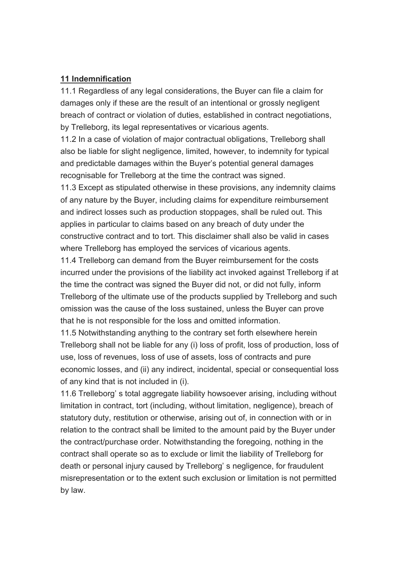#### **11 Indemnification**

11.1 Regardless of any legal considerations, the Buyer can file a claim for damages only if these are the result of an intentional or grossly negligent breach of contract or violation of duties, established in contract negotiations, by Trelleborg, its legal representatives or vicarious agents.

11.2 In a case of violation of major contractual obligations, Trelleborg shall also be liable for slight negligence, limited, however, to indemnity for typical and predictable damages within the Buyer's potential general damages recognisable for Trelleborg at the time the contract was signed.

11.3 Except as stipulated otherwise in these provisions, any indemnity claims of any nature by the Buyer, including claims for expenditure reimbursement and indirect losses such as production stoppages, shall be ruled out. This applies in particular to claims based on any breach of duty under the constructive contract and to tort. This disclaimer shall also be valid in cases where Trelleborg has employed the services of vicarious agents.

11.4 Trelleborg can demand from the Buyer reimbursement for the costs incurred under the provisions of the liability act invoked against Trelleborg if at the time the contract was signed the Buyer did not, or did not fully, inform Trelleborg of the ultimate use of the products supplied by Trelleborg and such omission was the cause of the loss sustained, unless the Buyer can prove that he is not responsible for the loss and omitted information.

11.5 Notwithstanding anything to the contrary set forth elsewhere herein Trelleborg shall not be liable for any (i) loss of profit, loss of production, loss of use, loss of revenues, loss of use of assets, loss of contracts and pure economic losses, and (ii) any indirect, incidental, special or consequential loss of any kind that is not included in (i).

11.6 Trelleborg' s total aggregate liability howsoever arising, including without limitation in contract, tort (including, without limitation, negligence), breach of statutory duty, restitution or otherwise, arising out of, in connection with or in relation to the contract shall be limited to the amount paid by the Buyer under the contract/purchase order. Notwithstanding the foregoing, nothing in the contract shall operate so as to exclude or limit the liability of Trelleborg for death or personal injury caused by Trelleborg' s negligence, for fraudulent misrepresentation or to the extent such exclusion or limitation is not permitted by law.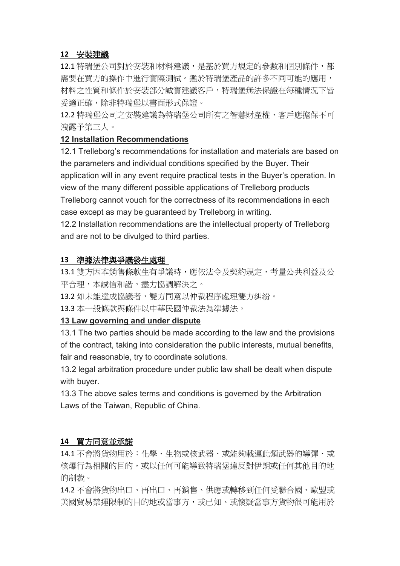### **12** 安裝建議

12.1 特瑞堡公司對於安裝和材料建議,是基於買方規定的參數和個別條件,都 需要在買方的操作中進行實際測試。鑑於特瑞堡產品的許多不同可能的應用, 材料之性質和條件於安裝部分誠實建議客戶,特瑞堡無法保證在每種情況下皆 妥適正確,除非特瑞堡以書面形式保證。

12.2 特瑞堡公司之安裝建議為特瑞堡公司所有之智慧財產權,客戶應擔保不可 洩露予第三人。

#### **12 Installation Recommendations**

12.1 Trelleborg's recommendations for installation and materials are based on the parameters and individual conditions specified by the Buyer. Their application will in any event require practical tests in the Buyer's operation. In view of the many different possible applications of Trelleborg products Trelleborg cannot vouch for the correctness of its recommendations in each

case except as may be guaranteed by Trelleborg in writing.

12.2 Installation recommendations are the intellectual property of Trelleborg and are not to be divulged to third parties.

### **13** 準據法律與爭議發生處理

13.1 雙方因本銷售條款生有爭議時,應依法令及契約規定,考量公共利益及公 平合理,本誠信和諧,盡力協調解決之。

13.2 如未能達成協議者,雙方同意以仲裁程序處理雙方糾紛。

13.3 本一般條款與條件以中華民國仲裁法為準據法。

## **13 Law governing and under dispute**

13.1 The two parties should be made according to the law and the provisions of the contract, taking into consideration the public interests, mutual benefits, fair and reasonable, try to coordinate solutions.

13.2 legal arbitration procedure under public law shall be dealt when dispute with buyer.

13.3 The above sales terms and conditions is governed by the Arbitration Laws of the Taiwan, Republic of China.

## **14** 買方同意並承諾

14.1 不會將貨物用於:化學、生物或核武器、或能夠載運此類武器的導彈、或 核爆行為相關的目的,或以任何可能導致特瑞堡違反對伊朗或任何其他目的地 的制裁。

14.2 不會將貨物出口、再出口、再銷售、供應或轉移到任何受聯合國、歐盟或 美國貿易禁運限制的目的地或當事方,或已知、或懷疑當事方貨物很可能用於